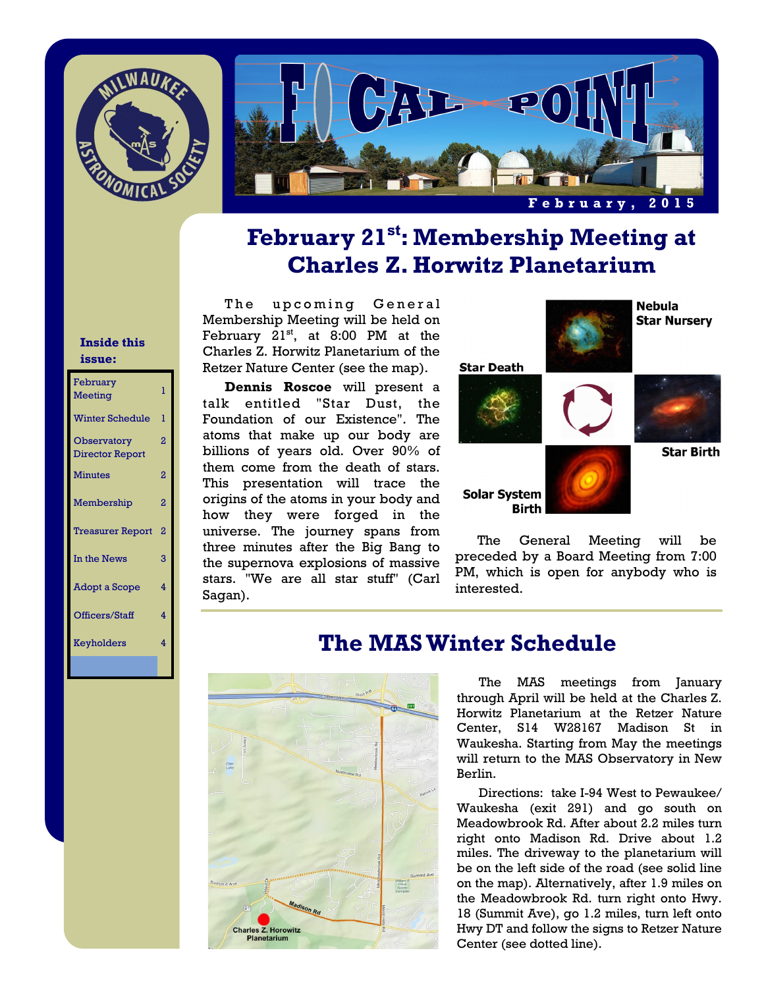



# **February 21st: Membership Meeting at Charles Z. Horwitz Planetarium**

#### **Inside this issue:**

| February<br>Meeting                   | ı                       |
|---------------------------------------|-------------------------|
| <b>Winter Schedule</b>                | ı                       |
| Observatory<br><b>Director Report</b> | 2                       |
| <b>Minutes</b>                        | 2                       |
| Membership                            | 2                       |
| <b>Treasurer Report</b>               | 2                       |
| In the News                           | 3                       |
| <b>Adopt a Scope</b>                  | 4                       |
| Officers/Staff                        | $\overline{\mathbf{A}}$ |
| Keyholders                            | 4                       |
|                                       |                         |

The upcoming General Membership Meeting will be held on February  $21^{st}$ , at 8:00 PM at the Charles Z. Horwitz Planetarium of the Retzer Nature Center (see the map).

**Dennis Roscoe** will present a talk entitled "Star Dust, the Foundation of our Existence". The atoms that make up our body are billions of years old. Over 90% of them come from the death of stars. This presentation will trace the origins of the atoms in your body and how they were forged in the universe. The journey spans from three minutes after the Big Bang to the supernova explosions of massive stars. "We are all star stuff" (Carl Sagan).



 The General Meeting will be preceded by a Board Meeting from 7:00 PM, which is open for anybody who is interested.



## **The MAS Winter Schedule**

The MAS meetings from January through April will be held at the Charles Z. Horwitz Planetarium at the Retzer Nature Center, S14 W28167 Madison St in Waukesha. Starting from May the meetings will return to the MAS Observatory in New Berlin.

 Directions: take I-94 West to Pewaukee/ Waukesha (exit 291) and go south on Meadowbrook Rd. After about 2.2 miles turn right onto Madison Rd. Drive about 1.2 miles. The driveway to the planetarium will be on the left side of the road (see solid line on the map). Alternatively, after 1.9 miles on the Meadowbrook Rd. turn right onto Hwy. 18 (Summit Ave), go 1.2 miles, turn left onto Hwy DT and follow the signs to Retzer Nature Center (see dotted line).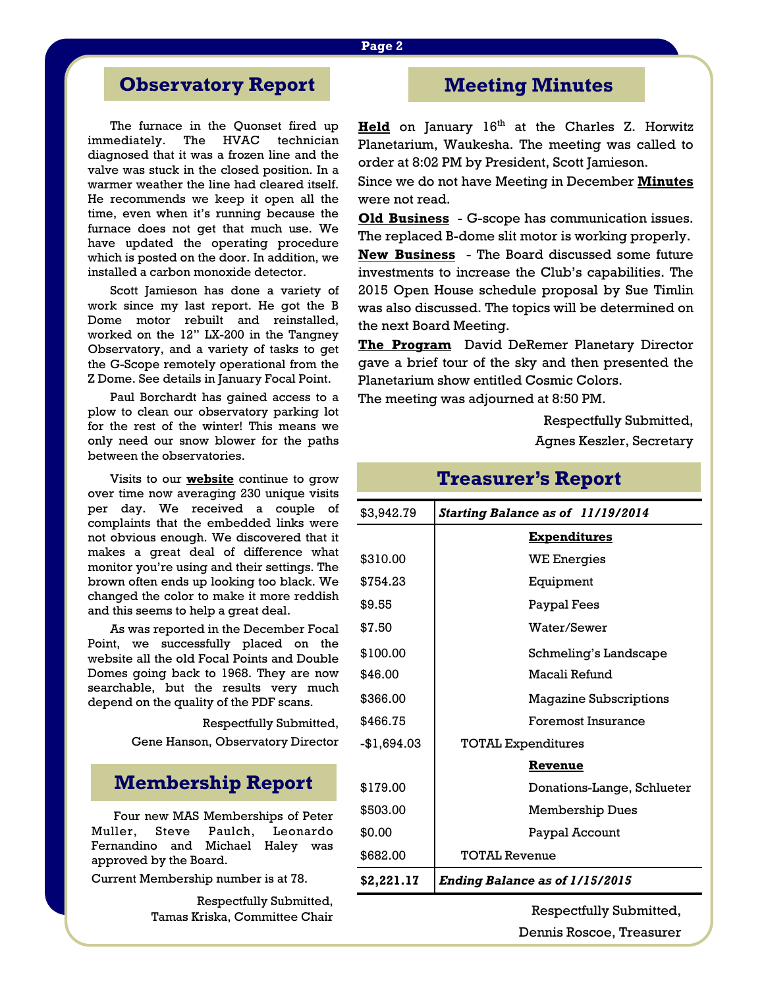## **Observatory Report**

The furnace in the Quonset fired up immediately. The HVAC technician diagnosed that it was a frozen line and the valve was stuck in the closed position. In a warmer weather the line had cleared itself. He recommends we keep it open all the time, even when it's running because the furnace does not get that much use. We have updated the operating procedure which is posted on the door. In addition, we installed a carbon monoxide detector.

 Scott Jamieson has done a variety of work since my last report. He got the B Dome motor rebuilt and reinstalled, worked on the 12" LX-200 in the Tangney Observatory, and a variety of tasks to get the G-Scope remotely operational from the Z Dome. See details in January Focal Point.

 Paul Borchardt has gained access to a plow to clean our observatory parking lot for the rest of the winter! This means we only need our snow blower for the paths between the observatories.

 Visits to our **website** continue to grow over time now averaging 230 unique visits per day. We received a couple of complaints that the embedded links were not obvious enough. We discovered that it makes a great deal of difference what monitor you're using and their settings. The brown often ends up looking too black. We changed the color to make it more reddish and this seems to help a great deal.

 As was reported in the December Focal Point, we successfully placed on the website all the old Focal Points and Double Domes going back to 1968. They are now searchable, but the results very much depend on the quality of the PDF scans.

Respectfully Submitted,

Gene Hanson, Observatory Director

### **Membership Report**

Four new MAS Memberships of Peter Muller, Steve Paulch, Leonardo Fernandino and Michael Haley was approved by the Board.

Current Membership number is at 78.

Respectfully Submitted, Tamas Kriska, Committee Chair

### **Meeting Minutes**

Held on January 16<sup>th</sup> at the Charles Z. Horwitz Planetarium, Waukesha. The meeting was called to order at 8:02 PM by President, Scott Jamieson.

Since we do not have Meeting in December **Minutes** were not read.

**Old Business** - G-scope has communication issues. The replaced B-dome slit motor is working properly.

**New Business** - The Board discussed some future investments to increase the Club's capabilities. The 2015 Open House schedule proposal by Sue Timlin was also discussed. The topics will be determined on the next Board Meeting.

**The Program** David DeRemer Planetary Director gave a brief tour of the sky and then presented the Planetarium show entitled Cosmic Colors.

The meeting was adjourned at 8:50 PM.

Respectfully Submitted, Agnes Keszler, Secretary

| \$3,942.79  | Starting Balance as of 11/19/2014     |  |
|-------------|---------------------------------------|--|
|             | <b>Expenditures</b>                   |  |
| \$310.00    | <b>WE Energies</b>                    |  |
| \$754.23    | Equipment                             |  |
| \$9.55      | Paypal Fees                           |  |
| \$7.50      | Water/Sewer                           |  |
| \$100.00    | Schmeling's Landscape                 |  |
| \$46.00     | Macali Refund                         |  |
| \$366.00    | <b>Magazine Subscriptions</b>         |  |
| \$466.75    | Foremost Insurance                    |  |
| -\$1,694.03 | <b>TOTAL Expenditures</b>             |  |
|             | Revenue                               |  |
| \$179.00    | Donations-Lange, Schlueter            |  |
| \$503.00    | Membership Dues                       |  |
| \$0.00      | Paypal Account                        |  |
| \$682.00    | <b>TOTAL Revenue</b>                  |  |
| \$2,221.17  | <b>Ending Balance as of 1/15/2015</b> |  |

Respectfully Submitted, Dennis Roscoe, Treasurer

# **Treasurer's Report**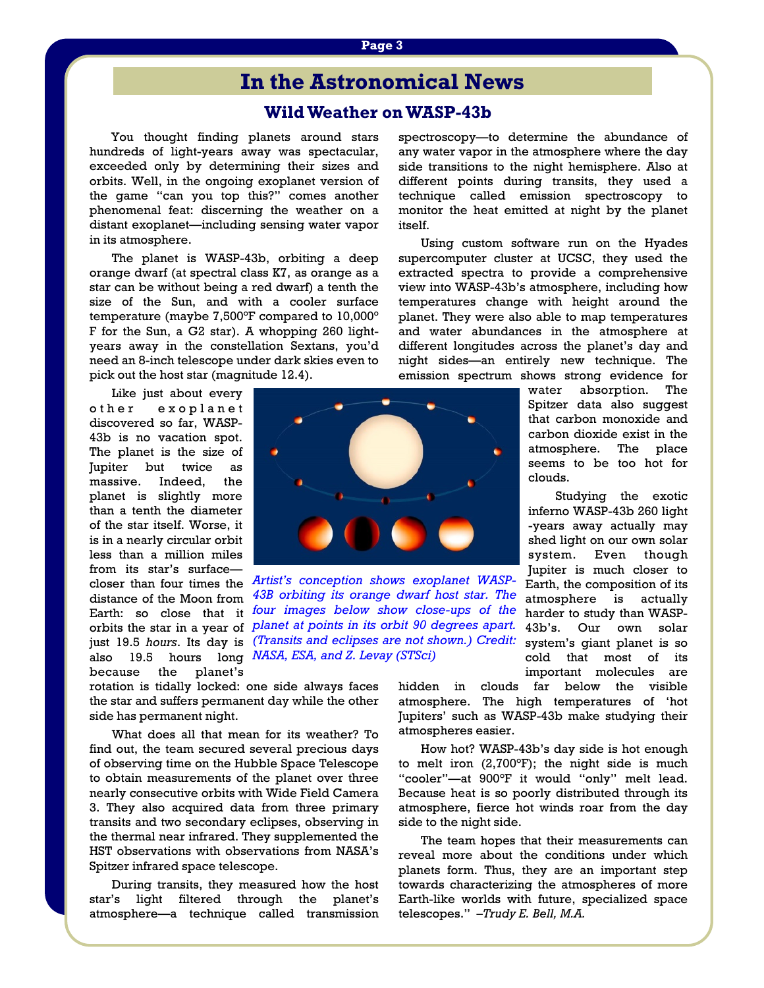#### **Page 3**

### **In the Astronomical News**

### **Wild Weather on WASP-43b**

 You thought finding planets around stars hundreds of light-years away was spectacular, exceeded only by determining their sizes and orbits. Well, in the ongoing exoplanet version of the game "can you top this?" comes another phenomenal feat: discerning the weather on a distant exoplanet—including sensing water vapor in its atmosphere.

 The planet is WASP-43b, orbiting a deep orange dwarf (at spectral class K7, as orange as a star can be without being a red dwarf) a tenth the size of the Sun, and with a cooler surface temperature (maybe 7,500°F compared to 10,000° F for the Sun, a G2 star). A whopping 260 lightyears away in the constellation Sextans, you'd need an 8-inch telescope under dark skies even to pick out the host star (magnitude 12.4).

 Like just about every o ther exoplanet discovered so far, WASP-43b is no vacation spot. The planet is the size of Jupiter but twice as massive. Indeed, the planet is slightly more than a tenth the diameter of the star itself. Worse, it is in a nearly circular orbit less than a million miles from its star's surface closer than four times the distance of the Moon from Earth: so close that it because the planet's



orbits the star in a year of *planet at points in its orbit 90 degrees apart.*  just 19.5 *hours*. Its day is *(Transits and eclipses are not shown.) Credit:*  also 19.5 hours long *NASA, ESA, and Z. Levay (STSci) Artist's conception shows exoplanet WASP-43B orbiting its orange dwarf host star. The four images below show close-ups of the* 

rotation is tidally locked: one side always faces the star and suffers permanent day while the other side has permanent night.

 What does all that mean for its weather? To find out, the team secured several precious days of observing time on the Hubble Space Telescope to obtain measurements of the planet over three nearly consecutive orbits with Wide Field Camera 3. They also acquired data from three primary transits and two secondary eclipses, observing in the thermal near infrared. They supplemented the HST observations with observations from NASA's Spitzer infrared space telescope.

 During transits, they measured how the host star's light filtered through the planet's atmosphere—a technique called transmission spectroscopy—to determine the abundance of any water vapor in the atmosphere where the day side transitions to the night hemisphere. Also at different points during transits, they used a technique called emission spectroscopy to monitor the heat emitted at night by the planet itself.

 Using custom software run on the Hyades supercomputer cluster at UCSC, they used the extracted spectra to provide a comprehensive view into WASP-43b's atmosphere, including how temperatures change with height around the planet. They were also able to map temperatures and water abundances in the atmosphere at different longitudes across the planet's day and night sides—an entirely new technique. The emission spectrum shows strong evidence for

water absorption. The Spitzer data also suggest that carbon monoxide and carbon dioxide exist in the atmosphere. The place seems to be too hot for clouds.

 Studying the exotic inferno WASP-43b 260 light -years away actually may shed light on our own solar system. Even though Jupiter is much closer to Earth, the composition of its atmosphere is actually harder to study than WASP-43b's. Our own solar system's giant planet is so cold that most of its important molecules are

hidden in clouds far below the visible atmosphere. The high temperatures of 'hot Jupiters' such as WASP-43b make studying their atmospheres easier.

 How hot? WASP-43b's day side is hot enough to melt iron (2,700°F); the night side is much "cooler"—at 900°F it would "only" melt lead. Because heat is so poorly distributed through its atmosphere, fierce hot winds roar from the day side to the night side.

 The team hopes that their measurements can reveal more about the conditions under which planets form. Thus, they are an important step towards characterizing the atmospheres of more Earth-like worlds with future, specialized space telescopes." *–Trudy E. Bell, M.A.*